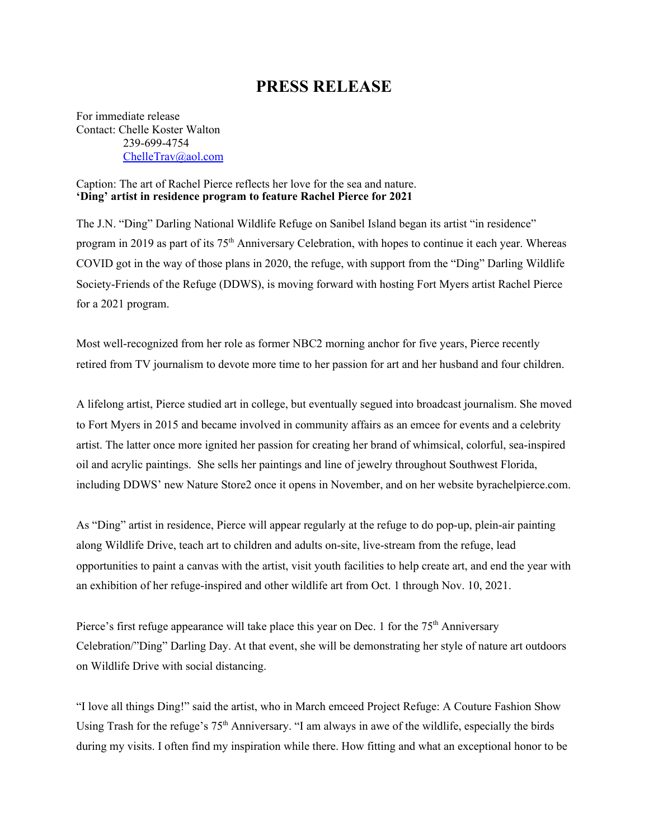## **PRESS RELEASE**

For immediate release Contact: Chelle Koster Walton 239-699-4754 [ChelleTrav@aol.com](mailto:ChelleTrav@aol.com)

## Caption: The art of Rachel Pierce reflects her love for the sea and nature. **'Ding' artist in residence program to feature Rachel Pierce for 2021**

The J.N. "Ding" Darling National Wildlife Refuge on Sanibel Island began its artist "in residence" program in 2019 as part of its 75<sup>th</sup> Anniversary Celebration, with hopes to continue it each year. Whereas COVID got in the way of those plans in 2020, the refuge, with support from the "Ding" Darling Wildlife Society-Friends of the Refuge (DDWS), is moving forward with hosting Fort Myers artist Rachel Pierce for a 2021 program.

Most well-recognized from her role as former NBC2 morning anchor for five years, Pierce recently retired from TV journalism to devote more time to her passion for art and her husband and four children.

A lifelong artist, Pierce studied art in college, but eventually segued into broadcast journalism. She moved to Fort Myers in 2015 and became involved in community affairs as an emcee for events and a celebrity artist. The latter once more ignited her passion for creating her brand of whimsical, colorful, sea-inspired oil and acrylic paintings. She sells her paintings and line of jewelry throughout Southwest Florida, including DDWS' new Nature Store2 once it opens in November, and on her website [byrachelpierce.com.](http://www.byrachelpierce.com/)

As "Ding" artist in residence, Pierce will appear regularly at the refuge to do pop-up, plein-air painting along Wildlife Drive, teach art to children and adults on-site, live-stream from the refuge, lead opportunities to paint a canvas with the artist, visit youth facilities to help create art, and end the year with an exhibition of her refuge-inspired and other wildlife art from Oct. 1 through Nov. 10, 2021.

Pierce's first refuge appearance will take place this year on Dec. 1 for the  $75<sup>th</sup>$  Anniversary Celebration/"Ding" Darling Day. At that event, she will be demonstrating her style of nature art outdoors on Wildlife Drive with social distancing.

"I love all things Ding!" said the artist, who in March emceed Project Refuge: A Couture Fashion Show Using Trash for the refuge's 75<sup>th</sup> Anniversary. "I am always in awe of the wildlife, especially the birds during my visits. I often find my inspiration while there. How fitting and what an exceptional honor to be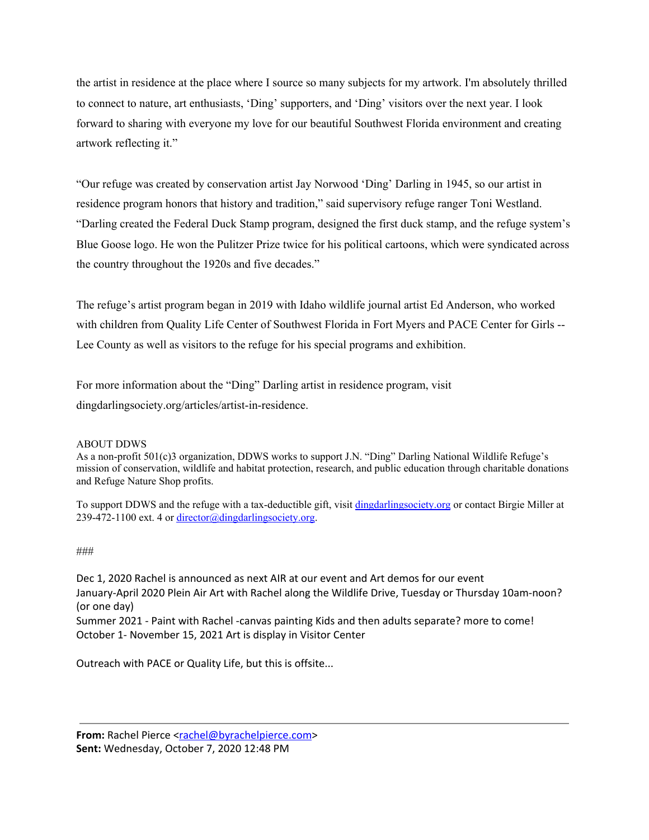the artist in residence at the place where I source so many subjects for my artwork. I'm absolutely thrilled to connect to nature, art enthusiasts, 'Ding' supporters, and 'Ding' visitors over the next year. I look forward to sharing with everyone my love for our beautiful Southwest Florida environment and creating artwork reflecting it."

"Our refuge was created by conservation artist Jay Norwood 'Ding' Darling in 1945, so our artist in residence program honors that history and tradition," said supervisory refuge ranger Toni Westland. "Darling created the Federal Duck Stamp program, designed the first duck stamp, and the refuge system's Blue Goose logo. He won the Pulitzer Prize twice for his political cartoons, which were syndicated across the country throughout the 1920s and five decades."

The refuge's artist program began in 2019 with Idaho wildlife journal artist Ed Anderson, who worked with children from Quality Life Center of Southwest Florida in Fort Myers and PACE Center for Girls -- Lee County as well as visitors to the refuge for his special programs and exhibition.

For more information about the "Ding" Darling artist in residence program, visit dingdarlingsociety.org/articles/artist-in-residence.

## ABOUT DDWS

As a non-profit 501(c)3 organization, DDWS works to support J.N. "Ding" Darling National Wildlife Refuge's mission of conservation, wildlife and habitat protection, research, and public education through charitable donations and Refuge Nature Shop profits.

To support DDWS and the refuge with a tax-deductible gift, visit dingdarlingsociety.org or contact Birgie Miller at 239-472-1100 ext. 4 or [director@dingdarlingsociety.org](mailto:director@dingdarlingsociety.org).

## ###

Dec 1, 2020 Rachel is announced as next AIR at our event and Art demos for our event January-April 2020 Plein Air Art with Rachel along the Wildlife Drive, Tuesday or Thursday 10am-noon? (or one day) Summer 2021 - Paint with Rachel -canvas painting Kids and then adults separate? more to come!

October 1- November 15, 2021 Art is display in Visitor Center

Outreach with PACE or Quality Life, but this is offsite...

From: Rachel Pierce [<rachel@byrachelpierce.com](mailto:rachel@byrachelpierce.com)> **Sent:** Wednesday, October 7, 2020 12:48 PM